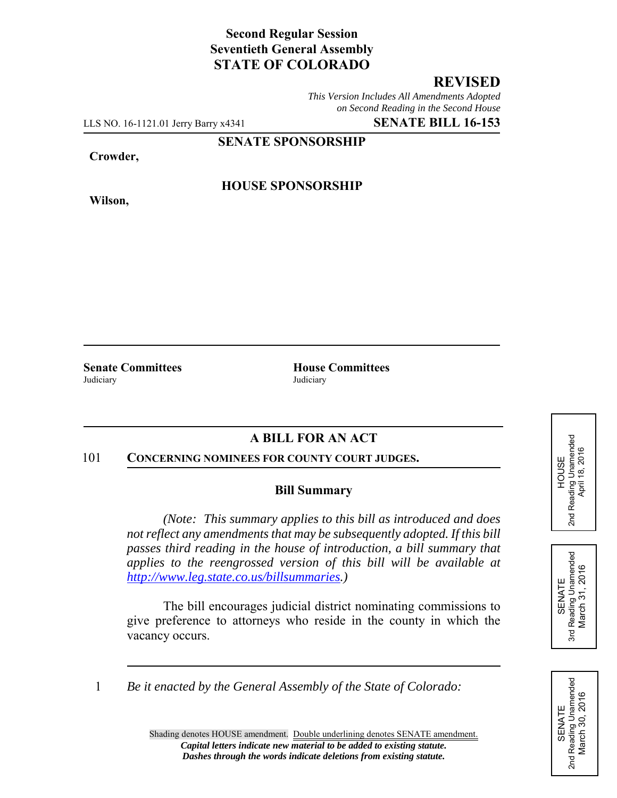# **Second Regular Session Seventieth General Assembly STATE OF COLORADO**

# **REVISED**

*This Version Includes All Amendments Adopted on Second Reading in the Second House*

LLS NO. 16-1121.01 Jerry Barry x4341 **SENATE BILL 16-153**

**SENATE SPONSORSHIP**

**Crowder,**

**Wilson,**

#### **HOUSE SPONSORSHIP**

**Senate Committees House Committees** Judiciary Judiciary

# **A BILL FOR AN ACT**

#### 101 **CONCERNING NOMINEES FOR COUNTY COURT JUDGES.**

#### **Bill Summary**

*(Note: This summary applies to this bill as introduced and does not reflect any amendments that may be subsequently adopted. If this bill passes third reading in the house of introduction, a bill summary that applies to the reengrossed version of this bill will be available at http://www.leg.state.co.us/billsummaries.)*

The bill encourages judicial district nominating commissions to give preference to attorneys who reside in the county in which the vacancy occurs.

1 *Be it enacted by the General Assembly of the State of Colorado:*